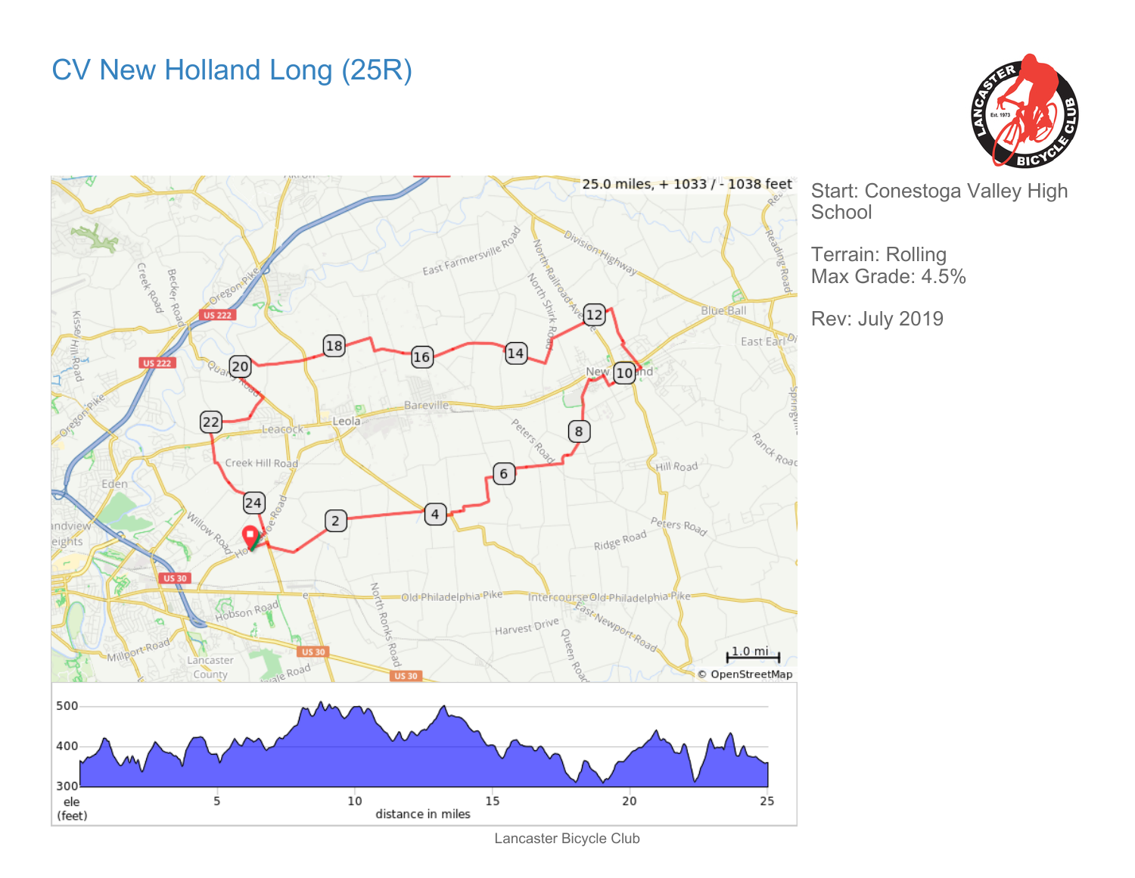## CV New Holland Long (25R)





Start: Conestoga Valley High **School** 

Terrain: Rolling Max Grade: 4.5%

Rev: July 2019

Lancaster Bicycle Club